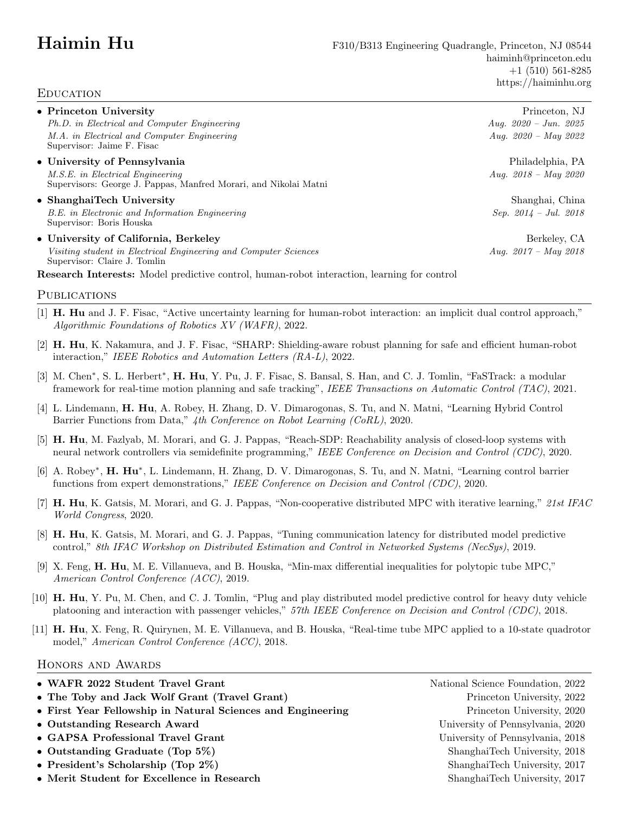## Education

| • Princeton University                                                                               | Princeton, NJ           |
|------------------------------------------------------------------------------------------------------|-------------------------|
| Ph.D. in Electrical and Computer Engineering                                                         | Aug. $2020 - Jun.$ 2025 |
| M.A. in Electrical and Computer Engineering<br>Supervisor: Jaime F. Fisac                            | Aug. $2020 - May 2022$  |
| • University of Pennsylvania                                                                         | Philadelphia, PA        |
| M.S.E. in Electrical Engineering<br>Supervisors: George J. Pappas, Manfred Morari, and Nikolai Matni | Aug. $2018 - May 2020$  |
| • ShanghaiTech University                                                                            | Shanghai, China         |
| B.E. in Electronic and Information Engineering<br>Supervisor: Boris Houska                           | Sep. $2014 - Jul.$ 2018 |
| • University of California, Berkeley                                                                 | Berkeley, CA            |
| Visiting student in Electrical Engineering and Computer Sciences<br>Supervisor: Claire J. Tomlin     | Aug. $2017 - May 2018$  |
| <b>Research Interests:</b> Model predictive control, human-robot interaction, learning for control   |                         |

### **PUBLICATIONS**

- [1] H. Hu and J. F. Fisac, "Active uncertainty learning for human-robot interaction: an implicit dual control approach," Algorithmic Foundations of Robotics XV (WAFR), 2022.
- [2] H. Hu, K. Nakamura, and J. F. Fisac, "SHARP: Shielding-aware robust planning for safe and efficient human-robot interaction," IEEE Robotics and Automation Letters (RA-L), 2022.
- [3] M. Chen\*, S. L. Herbert\*, H. Hu, Y. Pu, J. F. Fisac, S. Bansal, S. Han, and C. J. Tomlin, "FaSTrack: a modular framework for real-time motion planning and safe tracking", IEEE Transactions on Automatic Control (TAC), 2021.
- [4] L. Lindemann, H. Hu, A. Robey, H. Zhang, D. V. Dimarogonas, S. Tu, and N. Matni, "Learning Hybrid Control Barrier Functions from Data," 4th Conference on Robot Learning (CoRL), 2020.
- [5] H. Hu, M. Fazlyab, M. Morari, and G. J. Pappas, "Reach-SDP: Reachability analysis of closed-loop systems with neural network controllers via semidefinite programming," IEEE Conference on Decision and Control (CDC), 2020.
- [6] A. Robey\*, H. Hu\*, L. Lindemann, H. Zhang, D. V. Dimarogonas, S. Tu, and N. Matni, "Learning control barrier functions from expert demonstrations," IEEE Conference on Decision and Control (CDC), 2020.
- [7] H. Hu, K. Gatsis, M. Morari, and G. J. Pappas, "Non-cooperative distributed MPC with iterative learning," 21st IFAC World Congress, 2020.
- [8] H. Hu, K. Gatsis, M. Morari, and G. J. Pappas, "Tuning communication latency for distributed model predictive control," 8th IFAC Workshop on Distributed Estimation and Control in Networked Systems (NecSys), 2019.
- [9] X. Feng, H. Hu, M. E. Villanueva, and B. Houska, "Min-max differential inequalities for polytopic tube MPC," American Control Conference (ACC), 2019.
- [10] H. Hu, Y. Pu, M. Chen, and C. J. Tomlin, "Plug and play distributed model predictive control for heavy duty vehicle platooning and interaction with passenger vehicles," 57th IEEE Conference on Decision and Control (CDC), 2018.
- [11] H. Hu, X. Feng, R. Quirynen, M. E. Villanueva, and B. Houska, "Real-time tube MPC applied to a 10-state quadrotor model," American Control Conference (ACC), 2018.

#### Honors and Awards

| National Science Foundation, 2022 |
|-----------------------------------|
| Princeton University, 2022        |
| Princeton University, 2020        |
| University of Pennsylvania, 2020  |
| University of Pennsylvania, 2018  |
| ShanghaiTech University, 2018     |
| ShanghaiTech University, 2017     |
| ShanghaiTech University, 2017     |
|                                   |